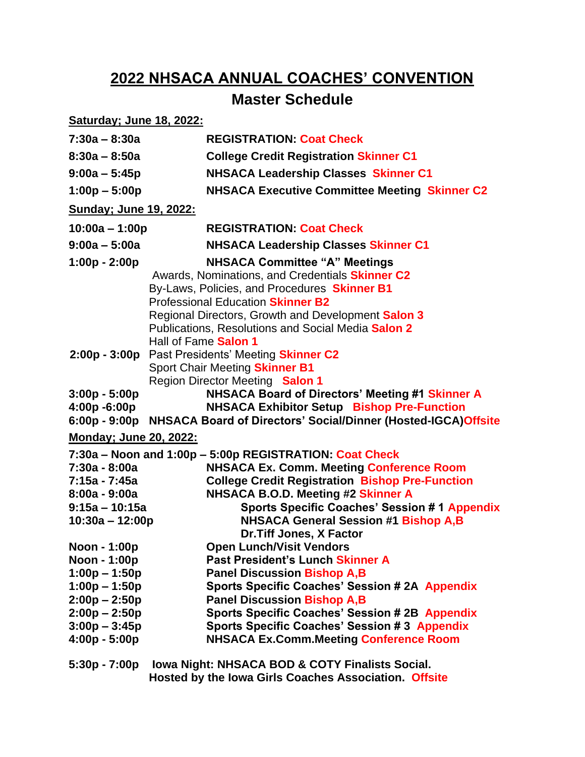# **2022 NHSACA ANNUAL COACHES' CONVENTION**

## **Master Schedule**

| <b>Saturday; June 18, 2022:</b>                                                                                                                |                                                                                                                                                                                                                                                                                                                                                                          |  |
|------------------------------------------------------------------------------------------------------------------------------------------------|--------------------------------------------------------------------------------------------------------------------------------------------------------------------------------------------------------------------------------------------------------------------------------------------------------------------------------------------------------------------------|--|
| $7:30a - 8:30a$                                                                                                                                | <b>REGISTRATION: Coat Check</b>                                                                                                                                                                                                                                                                                                                                          |  |
| $8:30a - 8:50a$                                                                                                                                | <b>College Credit Registration Skinner C1</b>                                                                                                                                                                                                                                                                                                                            |  |
| $9:00a - 5:45p$                                                                                                                                | <b>NHSACA Leadership Classes Skinner C1</b>                                                                                                                                                                                                                                                                                                                              |  |
| $1:00p - 5:00p$                                                                                                                                | <b>NHSACA Executive Committee Meeting Skinner C2</b>                                                                                                                                                                                                                                                                                                                     |  |
| <b>Sunday</b> ; June 19, 2022:                                                                                                                 |                                                                                                                                                                                                                                                                                                                                                                          |  |
| $10:00a - 1:00p$                                                                                                                               | <b>REGISTRATION: Coat Check</b>                                                                                                                                                                                                                                                                                                                                          |  |
| $9:00a - 5:00a$                                                                                                                                | <b>NHSACA Leadership Classes Skinner C1</b>                                                                                                                                                                                                                                                                                                                              |  |
| $1:00p - 2:00p$                                                                                                                                | <b>NHSACA Committee "A" Meetings</b><br>Awards, Nominations, and Credentials Skinner C2<br>By-Laws, Policies, and Procedures Skinner B1<br><b>Professional Education Skinner B2</b><br>Regional Directors, Growth and Development Salon 3<br>Publications, Resolutions and Social Media Salon 2<br>Hall of Fame Salon 1                                                  |  |
|                                                                                                                                                | 2:00p - 3:00p Past Presidents' Meeting Skinner C2<br>Sport Chair Meeting Skinner B1<br><b>Region Director Meeting Salon 1</b>                                                                                                                                                                                                                                            |  |
| $3:00p - 5:00p$<br>4:00p -6:00p<br>$6:00p - 9:00p$                                                                                             | NHSACA Board of Directors' Meeting #1 Skinner A<br><b>NHSACA Exhibitor Setup Bishop Pre-Function</b><br>NHSACA Board of Directors' Social/Dinner (Hosted-IGCA)Offsite                                                                                                                                                                                                    |  |
| <b>Monday; June 20, 2022:</b>                                                                                                                  |                                                                                                                                                                                                                                                                                                                                                                          |  |
| 7:30a - 8:00a<br>7:15a - 7:45a<br>$8:00a - 9:00a$<br>$9:15a - 10:15a$<br>$10:30a - 12:00p$                                                     | 7:30a - Noon and 1:00p - 5:00p REGISTRATION: Coat Check<br><b>NHSACA Ex. Comm. Meeting Conference Room</b><br><b>College Credit Registration Bishop Pre-Function</b><br><b>NHSACA B.O.D. Meeting #2 Skinner A</b><br><b>Sports Specific Coaches' Session # 1 Appendix</b><br><b>NHSACA General Session #1 Bishop A,B</b><br>Dr. Tiff Jones, X Factor                     |  |
| Noon - 1:00p<br>Noon - 1:00p<br>$1:00p - 1:50p$<br>$1:00p - 1:50p$<br>$2:00p - 2:50p$<br>$2:00p - 2:50p$<br>$3:00p - 3:45p$<br>$4:00p - 5:00p$ | <b>Open Lunch/Visit Vendors</b><br>Past President's Lunch Skinner A<br><b>Panel Discussion Bishop A,B</b><br><b>Sports Specific Coaches' Session #2A Appendix</b><br><b>Panel Discussion Bishop A,B</b><br><b>Sports Specific Coaches' Session # 2B Appendix</b><br><b>Sports Specific Coaches' Session #3 Appendix</b><br><b>NHSACA Ex.Comm.Meeting Conference Room</b> |  |
|                                                                                                                                                | 5:30n - 7:00n Iowa Night: NHSACA ROD & COTY Finalists Social                                                                                                                                                                                                                                                                                                             |  |

**5:30p - 7:00p Iowa Night: NHSACA BOD & COTY Finalists Social. Hosted by the Iowa Girls Coaches Association. Offsite**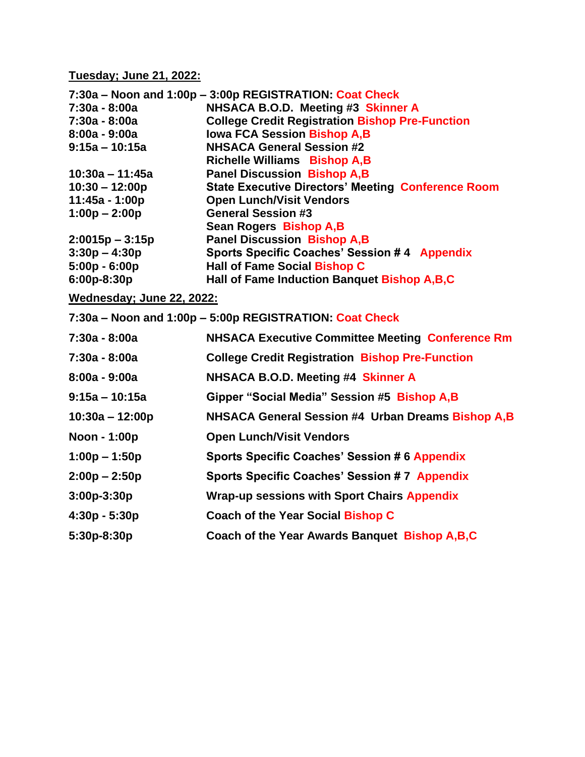**Tuesday; June 21, 2022:**

|                                                         | 7:30a – Noon and 1:00p – 3:00p REGISTRATION: Coat Check   |  |  |
|---------------------------------------------------------|-----------------------------------------------------------|--|--|
| $7:30a - 8:00a$                                         | NHSACA B.O.D. Meeting #3 Skinner A                        |  |  |
| 7:30a - 8:00a                                           | <b>College Credit Registration Bishop Pre-Function</b>    |  |  |
| $8:00a - 9:00a$                                         | <b>Iowa FCA Session Bishop A,B</b>                        |  |  |
| $9:15a - 10:15a$                                        | <b>NHSACA General Session #2</b>                          |  |  |
|                                                         | <b>Richelle Williams Bishop A,B</b>                       |  |  |
| $10:30a - 11:45a$                                       | <b>Panel Discussion Bishop A,B</b>                        |  |  |
| $10:30 - 12:00p$                                        | <b>State Executive Directors' Meeting Conference Room</b> |  |  |
| 11:45a - 1:00p                                          | <b>Open Lunch/Visit Vendors</b>                           |  |  |
| $1:00p - 2:00p$                                         | <b>General Session #3</b>                                 |  |  |
|                                                         | Sean Rogers Bishop A, B                                   |  |  |
| $2:0015p - 3:15p$                                       | <b>Panel Discussion Bishop A,B</b>                        |  |  |
| $3:30p - 4:30p$                                         | <b>Sports Specific Coaches' Session #4 Appendix</b>       |  |  |
| $5:00p - 6:00p$                                         | <b>Hall of Fame Social Bishop C</b>                       |  |  |
| $6:00p-8:30p$                                           | Hall of Fame Induction Banquet Bishop A, B, C             |  |  |
| Wednesday; June 22, 2022:                               |                                                           |  |  |
| 7:30a – Noon and 1:00p – 5:00p REGISTRATION: Coat Check |                                                           |  |  |

**7:30a - 8:00a NHSACA Executive Committee Meeting Conference Rm 7:30a - 8:00a College Credit Registration Bishop Pre-Function 8:00a - 9:00a NHSACA B.O.D. Meeting #4 Skinner A 9:15a – 10:15a Gipper "Social Media" Session #5 Bishop A,B 10:30a – 12:00p NHSACA General Session #4 Urban Dreams Bishop A,B Noon - 1:00p Open Lunch/Visit Vendors 1:00p – 1:50p Sports Specific Coaches' Session # 6 Appendix 2:00p – 2:50p Sports Specific Coaches' Session # 7 Appendix 3:00p-3:30p Wrap-up sessions with Sport Chairs Appendix 4:30p - 5:30p Coach of the Year Social Bishop C 5:30p-8:30p Coach of the Year Awards Banquet Bishop A,B,C**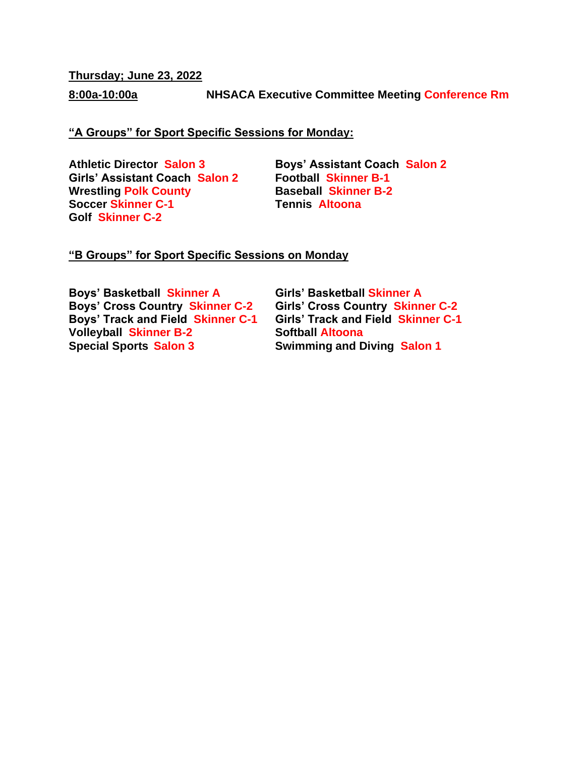**Thursday; June 23, 2022**

**8:00a-10:00a NHSACA Executive Committee Meeting Conference Rm**

### **"A Groups" for Sport Specific Sessions for Monday:**

**Girls' Assistant Coach Salon 2 Wrestling Polk County Baseball Skinner B-2 Soccer Skinner C-1 Tennis Altoona Golf Skinner C-2**

**Athletic Director Salon 3 Boys' Assistant Coach Salon 2**

#### **"B Groups" for Sport Specific Sessions on Monday**

**Boys' Basketball Skinner A Girls' Basketball Skinner A Boys' Cross Country Skinner C-2 Girls' Cross Country Skinner C-2 Boys' Track and Field Skinner C-1 Volleyball Skinner B-2 Softball Altoona**

**Special Sports Salon 3 Swimming and Diving Salon 1**